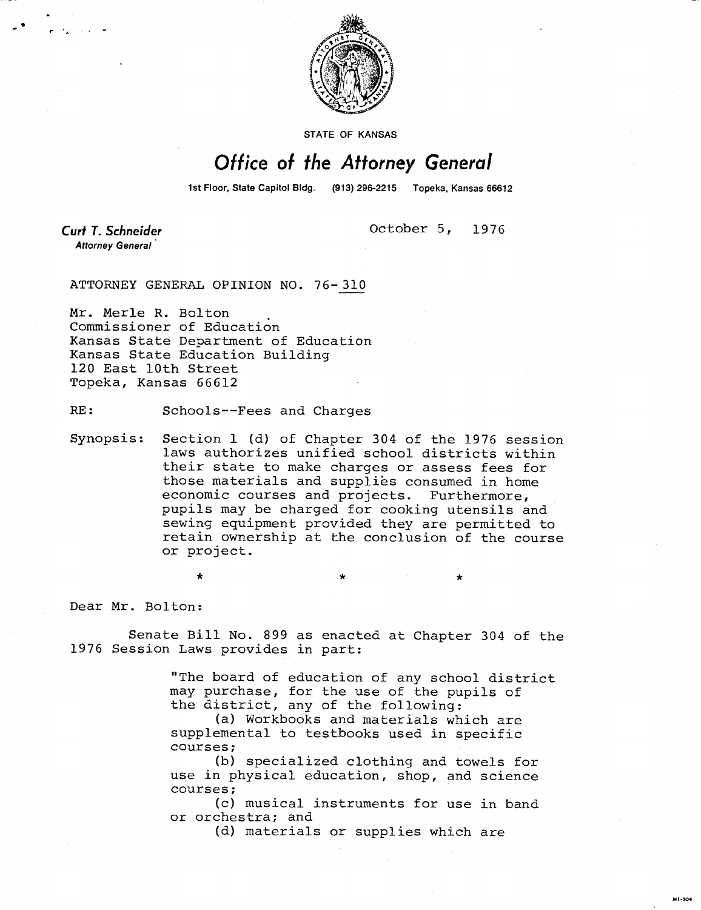

STATE OF KANSAS

## Office of the Attorney General

1st Floor, State Capitol Bldg. (913) 296-2215 Topeka, Kansas 66612

**Curt T. Schneider Attorney General** 

October 5, 1976

ATTORNEY GENERAL OPINION NO. 76-310

Mr. Merle R. Bolton Commissioner of Education Kansas State Department of Education Kansas State Education Building 120 East 10th Street Topeka, Kansas 66612

RE: Schools--Fees and Charges

Synopsis: Section 1 (d) of Chapter 304 of the 1976 session laws authorizes unified school districts within their state to make charges or assess fees for those materials and supplies consumed in home economic courses and projects. Furthermore, pupils may be charged for cooking utensils and sewing equipment provided they are permitted to retain ownership at the conclusion of the course or project.

Dear Mr. Bolton:

Senate Bill No. 899 as enacted at Chapter 304 of the 1976 Session Laws provides in part:

> "The board of education of any school district may purchase, for the use of the pupils of the district, any of the following:

(a) Workbooks and materials which are supplemental to testbooks used in specific courses;

(b) specialized clothing and towels for use in physical education, shop, and science courses;

(c) musical instruments for use in band or orchestra; and

(d) materials or supplies which are

M1-104